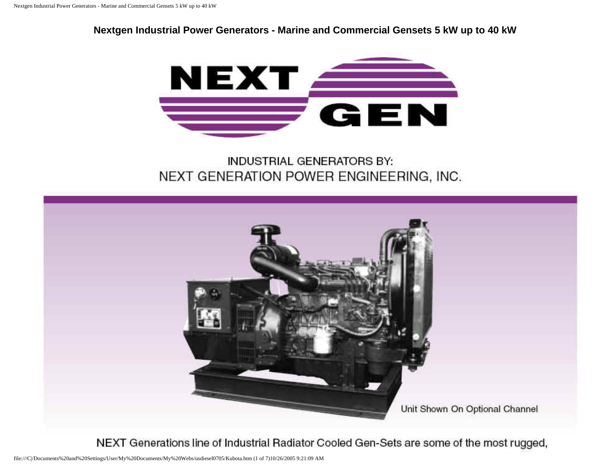**Nextgen Industrial Power Generators - Marine and Commercial Gensets 5 kW up to 40 kW**



**INDUSTRIAL GENERATORS BY:** NEXT GENERATION POWER ENGINEERING, INC.



NEXT Generations line of Industrial Radiator Cooled Gen-Sets are some of the most rugged,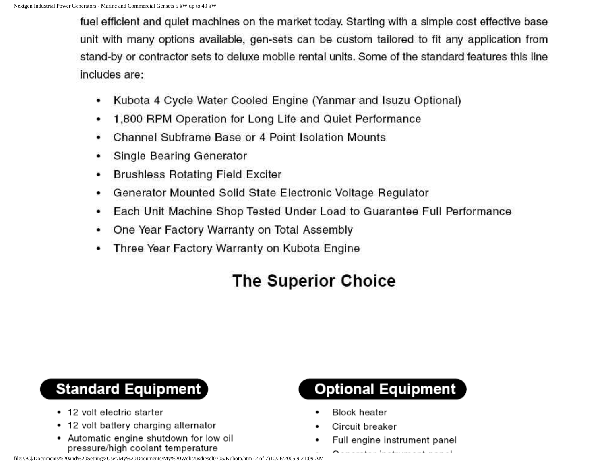fuel efficient and quiet machines on the market today. Starting with a simple cost effective base unit with many options available, gen-sets can be custom tailored to fit any application from stand-by or contractor sets to deluxe mobile rental units. Some of the standard features this line includes are:

- Kubota 4 Cycle Water Cooled Engine (Yanmar and Isuzu Optional) ۰
- 1,800 RPM Operation for Long Life and Quiet Performance ٠
- Channel Subframe Base or 4 Point Isolation Mounts
- Single Bearing Generator ٠
- **Brushless Rotating Field Exciter** ٠
- Generator Mounted Solid State Electronic Voltage Regulator ٠
- Each Unit Machine Shop Tested Under Load to Guarantee Full Performance ٠
- One Year Factory Warranty on Total Assembly ٠
- Three Year Factory Warranty on Kubota Engine

# **The Superior Choice**

## **Standard Equipment**

- 12 volt electric starter
- 12 volt battery charging alternator
- Automatic engine shutdown for low oil pressure/high coolant temperature



- **Block heater**
- Circuit breaker
- Full engine instrument panel

 $\bigcap$  and a set of a statement of the set of  $\bigcap$ 

file:///C|/Documents%20and%20Settings/User/My%20Documents/My%20Webs/usdiesel0705/Kubota.htm (2 of 7)10/26/2005 9:21:09 AM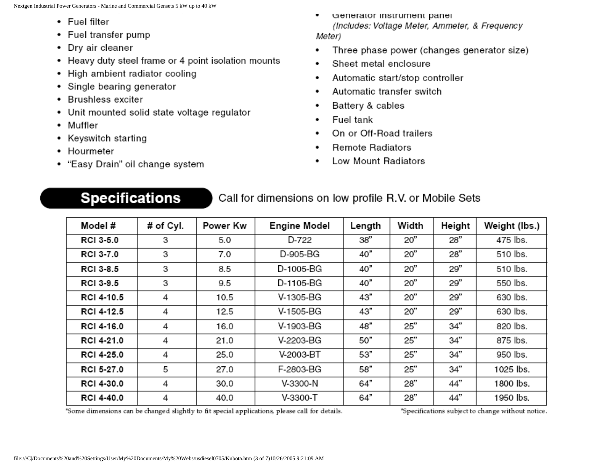- Fuel filter
- Fuel transfer pump
- Dry air cleaner
- Heavy duty steel frame or 4 point isolation mounts
- High ambient radiator cooling
- Single bearing generator
- Brushless exciter
- Unit mounted solid state voltage regulator
- Muffler
- Keyswitch starting
- Hourmeter
- "Easy Drain" oil change system
- Generator instrument panel (Includes: Voltage Meter, Ammeter, & Frequency Meter)
- Three phase power (changes generator size) ٠
- Sheet metal enclosure ٠
- Automatic start/stop controller ٠
- Automatic transfer switch ٠
- Battery & cables ٠
- Fuel tank
- On or Off-Road trailers
- **Remote Radiators**
- Low Mount Radiators ٠

### **Specifications**

#### Call for dimensions on low profile R.V. or Mobile Sets

| Model #          | # of Cyl. | Power Kw | <b>Engine Model</b> | Length | Width | Height | Weight (lbs.) |
|------------------|-----------|----------|---------------------|--------|-------|--------|---------------|
| <b>RCI 3-5.0</b> | З         | 5.0      | D-722               | 38"    | 20"   | 28"    | 475 lbs.      |
| <b>RCI 3-7.0</b> | з         | 7.0      | D-905-BG            | 40"    | 20"   | 28"    | 510 lbs.      |
| RCI 3-8.5        | З         | 8.5      | D-1005-BG           | 40"    | 20"   | 29"    | 510 lbs.      |
| RCI 3-9.5        | 3         | 9.5      | D-1105-BG           | 40"    | 20"   | 29"    | 550 lbs.      |
| RCI 4-10.5       | 4         | 10.5     | V-1305-BG           | 43"    | 20"   | 29"    | 630 lbs.      |
| RCI 4-12.5       | 4         | 12.5     | V-1505-BG           | 43"    | 20"   | 29"    | 630 lbs.      |
| RCI 4-16.0       | 4         | 16.0     | V-1903-BG           | 48"    | 25"   | 34"    | 820 lbs.      |
| RCI 4-21.0       | 4         | 21.0     | V-2203-BG           | 50"    | 25"   | 34"    | 875 lbs.      |
| RCI 4-25.0       | 4         | 25.0     | V-2003-BT           | 53"    | 25"   | 34"    | 950 lbs.      |
| RCI 5-27.0       | 5         | 27.0     | F-2803-BG           | 58"    | 25"   | 34"    | 1025 lbs.     |
| RCI 4-30.0       | 4         | 30.0     | V-3300-N            | 64"    | 28"   | 44"    | 1800 lbs.     |
| RCI 4-40.0       | 4         | 40.0     | V-3300-T            | 64"    | 28"   | 44"    | 1950 lbs.     |

\*Some dimensions can be changed slightly to fit special applications, please call for details.

"Specifications subject to change without notice.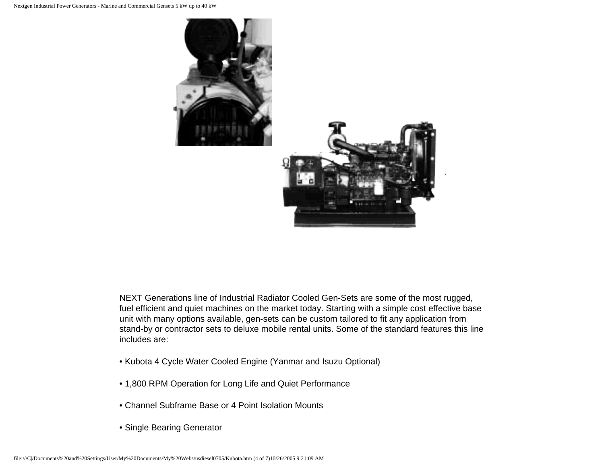

NEXT Generations line of Industrial Radiator Cooled Gen-Sets are some of the most rugged, fuel efficient and quiet machines on the market today. Starting with a simple cost effective base unit with many options available, gen-sets can be custom tailored to fit any application from stand-by or contractor sets to deluxe mobile rental units. Some of the standard features this line includes are:

- Kubota 4 Cycle Water Cooled Engine (Yanmar and Isuzu Optional)
- 1,800 RPM Operation for Long Life and Quiet Performance
- Channel Subframe Base or 4 Point Isolation Mounts
- Single Bearing Generator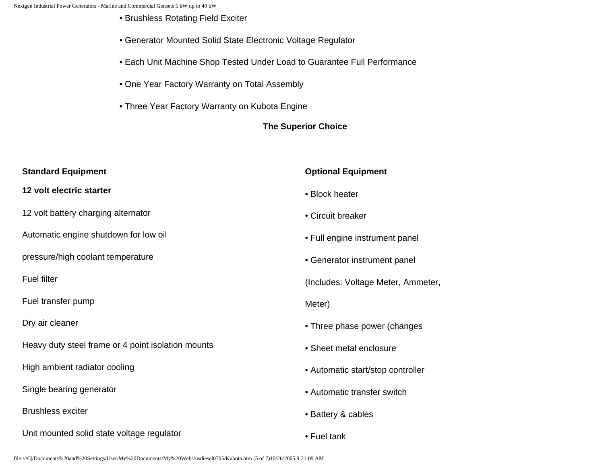- Brushless Rotating Field Exciter
- Generator Mounted Solid State Electronic Voltage Regulator
- Each Unit Machine Shop Tested Under Load to Guarantee Full Performance
- One Year Factory Warranty on Total Assembly
- Three Year Factory Warranty on Kubota Engine

#### **The Superior Choice**

| <b>Standard Equipment</b>                          | <b>Optional Equipment</b>          |  |  |
|----------------------------------------------------|------------------------------------|--|--|
| 12 volt electric starter                           | • Block heater                     |  |  |
| 12 volt battery charging alternator                | • Circuit breaker                  |  |  |
| Automatic engine shutdown for low oil              | • Full engine instrument panel     |  |  |
| pressure/high coolant temperature                  | • Generator instrument panel       |  |  |
| <b>Fuel filter</b>                                 | (Includes: Voltage Meter, Ammeter, |  |  |
| Fuel transfer pump                                 | Meter)                             |  |  |
| Dry air cleaner                                    | • Three phase power (changes       |  |  |
| Heavy duty steel frame or 4 point isolation mounts | • Sheet metal enclosure            |  |  |
| High ambient radiator cooling                      | • Automatic start/stop controller  |  |  |
| Single bearing generator                           | • Automatic transfer switch        |  |  |
| <b>Brushless exciter</b>                           | • Battery & cables                 |  |  |
| Unit mounted solid state voltage regulator         | • Fuel tank                        |  |  |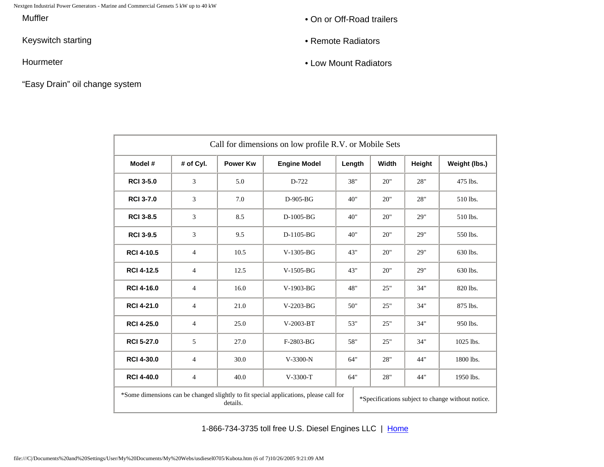Nextgen Industrial Power Generators - Marine and Commercial Gensets 5 kW up to 40 kW

**Muffler** 

Keyswitch starting

Hourmeter

"Easy Drain" oil change system

- On or Off-Road trailers
- Remote Radiators
- Low Mount Radiators

| Call for dimensions on low profile R.V. or Mobile Sets                                                                                                 |                |                 |                     |        |       |        |               |  |
|--------------------------------------------------------------------------------------------------------------------------------------------------------|----------------|-----------------|---------------------|--------|-------|--------|---------------|--|
| Model #                                                                                                                                                | # of Cyl.      | <b>Power Kw</b> | <b>Engine Model</b> | Length | Width | Height | Weight (lbs.) |  |
| <b>RCI 3-5.0</b>                                                                                                                                       | 3              | 5.0             | D-722               | 38"    | 20"   | 28"    | 475 lbs.      |  |
| <b>RCI 3-7.0</b>                                                                                                                                       | 3              | 7.0             | $D-905-BG$          | 40"    | 20"   | 28"    | 510 lbs.      |  |
| <b>RCI 3-8.5</b>                                                                                                                                       | 3              | 8.5             | $D-1005-BG$         | 40"    | 20"   | 29"    | 510 lbs.      |  |
| <b>RCI 3-9.5</b>                                                                                                                                       | 3              | 9.5             | D-1105-BG           | 40"    | 20"   | 29"    | 550 lbs.      |  |
| <b>RCI 4-10.5</b>                                                                                                                                      | $\overline{4}$ | 10.5            | $V-1305-BG$         | 43"    | 20"   | 29"    | 630 lbs.      |  |
| <b>RCI 4-12.5</b>                                                                                                                                      | $\overline{4}$ | 12.5            | $V-1505-BG$         | 43"    | 20"   | 29"    | 630 lbs.      |  |
| <b>RCI 4-16.0</b>                                                                                                                                      | $\overline{4}$ | 16.0            | $V-1903-BG$         | 48"    | 25"   | 34"    | 820 lbs.      |  |
| <b>RCI 4-21.0</b>                                                                                                                                      | $\overline{4}$ | 21.0            | $V-2203-BG$         | 50"    | 25"   | 34"    | 875 lbs.      |  |
| <b>RCI 4-25.0</b>                                                                                                                                      | $\overline{4}$ | 25.0            | V-2003-BT           | 53"    | 25"   | 34"    | 950 lbs.      |  |
| <b>RCI 5-27.0</b>                                                                                                                                      | 5              | 27.0            | F-2803-BG           | 58"    | 25"   | 34"    | 1025 lbs.     |  |
| <b>RCI 4-30.0</b>                                                                                                                                      | $\overline{4}$ | 30.0            | V-3300-N            | 64"    | 28"   | 44"    | 1800 lbs.     |  |
| <b>RCI 4-40.0</b>                                                                                                                                      | $\overline{4}$ | 40.0            | $V-3300-T$          | 64"    | 28"   | 44"    | 1950 lbs.     |  |
| *Some dimensions can be changed slightly to fit special applications, please call for<br>*Specifications subject to change without notice.<br>details. |                |                 |                     |        |       |        |               |  |

1-866-734-3735 toll free U.S. Diesel Engines LLC | [Home](http://www.usdieselengines.com/)